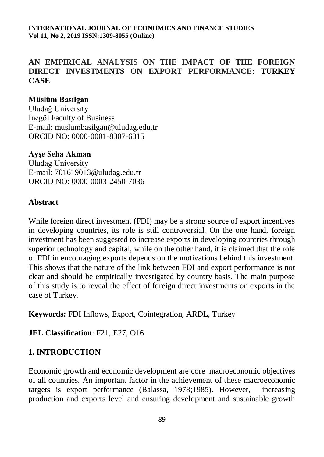# **AN EMPIRICAL ANALYSIS ON THE IMPACT OF THE FOREIGN DIRECT INVESTMENTS ON EXPORT PERFORMANCE: TURKEY CASE**

## **[Müslüm Basılgan](https://dergipark.org.tr/tr/search?q=M%C3%BCsl%C3%BCm+BASILGAN§ion=author)**

Uludağ University İnegöl Faculty of Business E-mail: muslumbasilgan@uludag.edu.tr ORCID NO: 0000-0001-8307-6315

## **[Ayşe Seha Akman](https://dergipark.org.tr/tr/search?q=Ay%C5%9Fe+Seha+Akman§ion=author)**

Uludağ University E-mail: 701619013@uludag.edu.tr ORCID NO: 0000-0003-2450-7036

## **Abstract**

While foreign direct investment (FDI) may be a strong source of export incentives in developing countries, its role is still controversial. On the one hand, foreign investment has been suggested to increase exports in developing countries through superior technology and capital, while on the other hand, it is claimed that the role of FDI in encouraging exports depends on the motivations behind this investment. This shows that the nature of the link between FDI and export performance is not clear and should be empirically investigated by country basis. The main purpose of this study is to reveal the effect of foreign direct investments on exports in the case of Turkey.

**Keywords:** FDI Inflows, Export, Cointegration, ARDL, Turkey

**JEL Classification**: F21, E27, O16

# **1. INTRODUCTION**

Economic growth and economic development are core macroeconomic objectives of all countries. An important factor in the achievement of these macroeconomic targets is export performance (Balassa, 1978;1985). However, increasing production and exports level and ensuring development and sustainable growth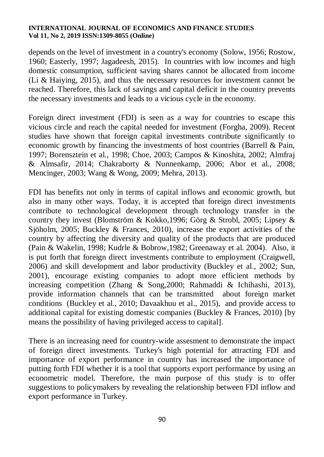depends on the level of investment in a country's economy (Solow, 1956; Rostow, 1960; Easterly, 1997; Jagadeesh, 2015). In countries with low incomes and high domestic consumption, sufficient saving shares cannot be allocated from income (Li & Haiying, 2015), and thus the necessary resources for investment cannot be reached. Therefore, this lack of savings and capital deficit in the country prevents the necessary investments and leads to a vicious cycle in the economy.

Foreign direct investment (FDI) is seen as a way for countries to escape this vicious circle and reach the capital needed for investment (Forgha, 2009). Recent studies have shown that foreign capital investments contribute significantly to economic growth by financing the investments of host countries (Barrell & Pain, 1997; Borensztein et al., 1998; Choe, 2003; Campos & Kinoshita, 2002; Almfraj & Almsafir, 2014; Chakraborty & Nunnenkamp, 2006; Abor et al., 2008; Mencinger, 2003; Wang & Wong, 2009; Mehra, 2013).

FDI has benefits not only in terms of capital inflows and economic growth, but also in many other ways. Today, it is accepted that foreign direct investments contribute to technological development through technology transfer in the country they invest (Blomström & Kokko,1996; Görg & Strobl, 2005; Lipsey & Sjöholm, 2005; Buckley & Frances, 2010), increase the export activities of the country by affecting the diversity and quality of the products that are produced (Pain & Wakelin, 1998; Kudrle & Bobrow,1982; Greenaway et al. 2004). Also, it is put forth that foreign direct investments contribute to employment (Craigwell, 2006) and skill development and labor productivity (Buckley et al., 2002; Sun, 2001), encourage existing companies to adopt more efficient methods by increasing competition (Zhang & Song,2000; Rahmaddi & Ichihashi, 2013), provide information channels that can be transmitted about foreign market conditions (Buckley et al., 2010; Davaakhuu et al., 2015), and provide access to additional capital for existing domestic companies (Buckley & Frances, 2010) [by means the possibility of having privileged access to capital].

There is an increasing need for country-wide assesment to demonstrate the impact of foreign direct investments. Turkey's high potential for attracting FDI and importance of export performance in country has increased the importance of putting forth FDI whether it is a tool that supports export performance by using an econometric model. Therefore, the main purpose of this study is to offer suggestions to policymakers by revealing the relationship between FDI inflow and export performance in Turkey.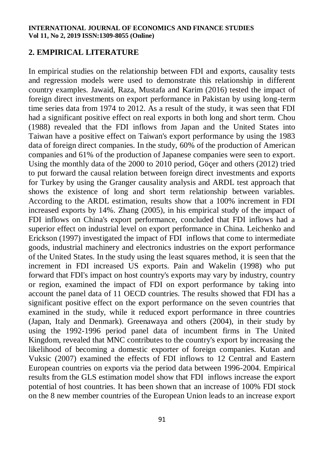## **2. EMPIRICAL LITERATURE**

In empirical studies on the relationship between FDI and exports, causality tests and regression models were used to demonstrate this relationship in different country examples. Jawaid, Raza, Mustafa and Karim (2016) tested the impact of foreign direct investments on export performance in Pakistan by using long-term time series data from 1974 to 2012. As a result of the study, it was seen that FDI had a significant positive effect on real exports in both long and short term. Chou (1988) revealed that the FDI inflows from Japan and the United States into Taiwan have a positive effect on Taiwan's export performance by using the 1983 data of foreign direct companies. In the study, 60% of the production of American companies and 61% of the production of Japanese companies were seen to export. Using the monthly data of the 2000 to 2010 period, Göçer and others (2012) tried to put forward the causal relation between foreign direct investments and exports for Turkey by using the Granger causality analysis and ARDL test approach that shows the existence of long and short term relationship between variables. According to the ARDL estimation, results show that a 100% increment in FDI increased exports by 14%. Zhang (2005), in his empirical study of the impact of FDI inflows on China's export performance, concluded that FDI inflows had a superior effect on industrial level on export performance in China. Leichenko and Erickson (1997) investigated the impact of FDI inflows that come to intermediate goods, industrial machinery and electronics industries on the export performance of the United States. In the study using the least squares method, it is seen that the increment in FDI increased US exports. Pain and Wakelin (1998) who put forward that FDI's impact on host country's exports may vary by industry, country or region, examined the impact of FDI on export performance by taking into account the panel data of 11 OECD countries. The results showed that FDI has a significant positive effect on the export performance on the seven countries that examined in the study, while it reduced export performance in three countries (Japan, Italy and Denmark). Greenawaya and others (2004), in their study by using the 1992-1996 period panel data of incumbent firms in The United Kingdom, revealed that MNC contributes to the country's export by increasing the likelihood of becoming a domestic exporter of foreign companies. Kutan and Vuksic (2007) examined the effects of FDI inflows to 12 Central and Eastern European countries on exports via the period data between 1996-2004. Empirical results from the GLS estimation model show that FDI inflows increase the export potential of host countries. It has been shown that an increase of 100% FDI stock on the 8 new member countries of the European Union leads to an increase export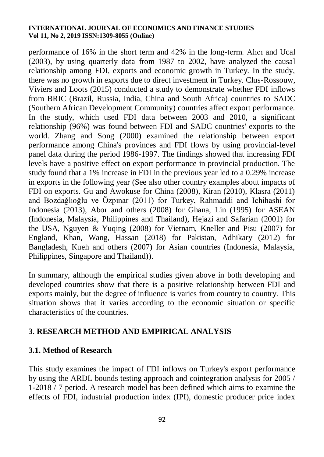performance of 16% in the short term and 42% in the long-term. Alıcı and Ucal (2003), by using quarterly data from 1987 to 2002, have analyzed the causal relationship among FDI, exports and economic growth in Turkey. In the study, there was no growth in exports due to direct investment in Turkey. Clus-Rossouw, Viviers and Loots (2015) conducted a study to demonstrate whether FDI inflows from BRIC (Brazil, Russia, India, China and South Africa) countries to SADC (Southern African Development Community) countries affect export performance. In the study, which used FDI data between 2003 and 2010, a significant relationship (96%) was found between FDI and SADC countries' exports to the world. Zhang and Song (2000) examined the relationship between export performance among China's provinces and FDI flows by using provincial-level panel data during the period 1986-1997. The findings showed that increasing FDI levels have a positive effect on export performance in provincial production. The study found that a 1% increase in FDI in the previous year led to a 0.29% increase in exports in the following year (See also other country examples about impacts of FDI on exports. Gu and Awokuse for China (2008), Kiran (2010), Klasra (2011) and Bozdağlıoğlu ve Özpınar (2011) for Turkey, Rahmaddi and Ichihashi for Indonesia (2013), Abor and others (2008) for Ghana, Lin (1995) for ASEAN (Indonesia, Malaysia, Philippines and Thailand), Hejazi and Safarian (2001) for the USA, Nguyen & Yuqing (2008) for Vietnam, Kneller and Pisu (2007) for England, Khan, Wang, Hassan (2018) for Pakistan, Adhikary (2012) for Bangladesh, Kueh and others (2007) for Asian countries (Indonesia, Malaysia, Philippines, Singapore and Thailand)).

In summary, although the empirical studies given above in both developing and developed countries show that there is a positive relationship between FDI and exports mainly, but the degree of influence is varies from country to country. This situation shows that it varies according to the economic situation or specific characteristics of the countries.

# **3. RESEARCH METHOD AND EMPIRICAL ANALYSIS**

## **3.1. Method of Research**

This study examines the impact of FDI inflows on Turkey's export performance by using the ARDL bounds testing approach and cointegration analysis for 2005 / 1-2018 / 7 period. A research model has been defined which aims to examine the effects of FDI, industrial production index (IPI), domestic producer price index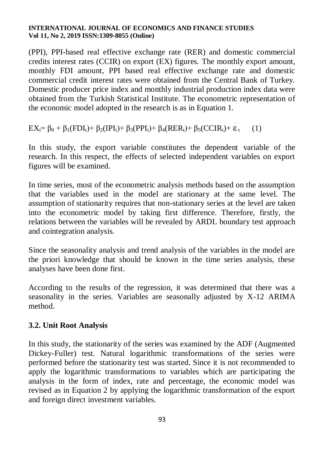(PPI), PPI-based real effective exchange rate (RER) and domestic commercial credits interest rates (CCIR) on export (EX) figures. The monthly export amount, monthly FDI amount, PPI based real effective exchange rate and domestic commercial credit interest rates were obtained from the Central Bank of Turkey. Domestic producer price index and monthly industrial production index data were obtained from the Turkish Statistical Institute. The econometric representation of the economic model adopted in the research is as in Equation 1.

 $EX_t = \beta_0 + \beta_1(FDI_t) + \beta_2(IPI_t) + \beta_3(PPI_t) + \beta_4(RER_t) + \beta_5(CCIR_t) + \epsilon_t$  (1)

In this study, the export variable constitutes the dependent variable of the research. In this respect, the effects of selected independent variables on export figures will be examined.

In time series, most of the econometric analysis methods based on the assumption that the variables used in the model are stationary at the same level. The assumption of stationarity requires that non-stationary series at the level are taken into the econometric model by taking first difference. Therefore, firstly, the relations between the variables will be revealed by ARDL boundary test approach and cointegration analysis.

Since the seasonality analysis and trend analysis of the variables in the model are the priori knowledge that should be known in the time series analysis, these analyses have been done first.

According to the results of the regression, it was determined that there was a seasonality in the series. Variables are seasonally adjusted by X-12 ARIMA method.

# **3.2. Unit Root Analysis**

In this study, the stationarity of the series was examined by the ADF (Augmented Dickey-Fuller) test. Natural logarithmic transformations of the series were performed before the stationarity test was started. Since it is not recommended to apply the logarithmic transformations to variables which are participating the analysis in the form of index, rate and percentage, the economic model was revised as in Equation 2 by applying the logarithmic transformation of the export and foreign direct investment variables.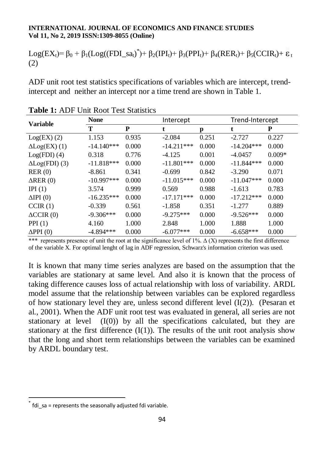Log(EX<sub>t</sub>)=  $\beta_0 + \beta_1 (Log((FDI\_sa_t)^*) + \beta_2 (IPI_t) + \beta_3 (PPI_t) + \beta_4 (RER_t) + \beta_5 (CCIR_t) + \epsilon_t$ (2)

ADF unit root test statistics specifications of variables which are intercept, trendintercept and neither an intercept nor a time trend are shown in Table 1.

| <b>Variable</b>       | <b>None</b>  |       | Intercept    |       | Trend-Intercept |          |
|-----------------------|--------------|-------|--------------|-------|-----------------|----------|
|                       | Т            | P     | t            | p     | t               | P        |
| $Log(EX)$ (2)         | 1.153        | 0.935 | $-2.084$     | 0.251 | $-2.727$        | 0.227    |
| $\Delta$ Log(EX) (1)  | $-14.140***$ | 0.000 | $-14.211***$ | 0.000 | $-14.204***$    | 0.000    |
| $Log(FDI)$ (4)        | 0.318        | 0.776 | $-4.125$     | 0.001 | $-4.0457$       | $0.009*$ |
| $\Delta$ Log(FDI) (3) | $-11.818***$ | 0.000 | $-11.801***$ | 0.000 | $-11.844***$    | 0.000    |
| RER(0)                | $-8.861$     | 0.341 | $-0.699$     | 0.842 | $-3.290$        | 0.071    |
| $\Delta$ RER $(0)$    | $-10.997***$ | 0.000 | $-11.015***$ | 0.000 | $-11.047***$    | 0.000    |
| IPI $(1)$             | 3.574        | 0.999 | 0.569        | 0.988 | $-1.613$        | 0.783    |
| $\Delta$ IPI $(0)$    | $-16.235***$ | 0.000 | $-17.171***$ | 0.000 | $-17.212***$    | 0.000    |
| CCIR(1)               | $-0.339$     | 0.561 | $-1.858$     | 0.351 | $-1.277$        | 0.889    |
| $\triangle CCIR(0)$   | $-9.306***$  | 0.000 | $-9.275***$  | 0.000 | $-9.526***$     | 0.000    |
| PPI(1)                | 4.160        | 1.000 | 2.848        | 1.000 | 1.888           | 1.000    |
| $\Delta$ PPI $(0)$    | $-4.894***$  | 0.000 | $-6.077***$  | 0.000 | $-6.658***$     | 0.000    |

\*\*\* represents presence of unit the root at the significance level of 1%.  $\Delta(X)$  represents the first difference of the variable X. For optimal lenght of lag in ADF regression, Schwarz's information criterion was used.

It is known that many time series analyzes are based on the assumption that the variables are stationary at same level. And also it is known that the process of taking difference causes loss of actual relationship with loss of variability. ARDL model assume that the relationship between variables can be explored regardless of how stationary level they are, unless second different level  $(I(2))$ . (Pesaran et al., 2001). When the ADF unit root test was evaluated in general, all series are not stationary at level  $(I(0))$  by all the specifications calculated, but they are stationary at the first difference  $(I(1))$ . The results of the unit root analysis show that the long and short term relationships between the variables can be examined by ARDL boundary test.

 $\ddot{\phantom{a}}$ 

<sup>\*</sup> fdi sa = represents the seasonally adjusted fdi variable.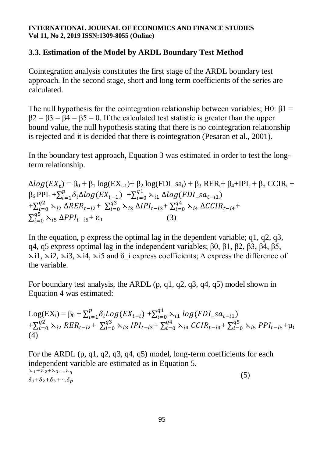# **3.3. Estimation of the Model by ARDL Boundary Test Method**

Cointegration analysis constitutes the first stage of the ARDL boundary test approach. In the second stage, short and long term coefficients of the series are calculated.

The null hypothesis for the cointegration relationship between variables; H0:  $\beta$ 1 =  $\beta$ 2 =  $\beta$ 3 =  $\beta$ 4 =  $\beta$ 5 = 0. If the calculated test statistic is greater than the upper bound value, the null hypothesis stating that there is no cointegration relationship is rejected and it is decided that there is cointegration (Pesaran et al., 2001).

In the boundary test approach, Equation 3 was estimated in order to test the longterm relationship.

 $\Delta log(EX_t) = \beta_0 + \beta_1 log(EX_{t-1}) + \beta_2 log(FDI_s a_t) + \beta_3 RER_t + \beta_4 + IPI_t + \beta_5 CCIR_t +$  $\beta_6 PPI_t + \sum_{i=1}^p \delta_i \Delta log(EX_{t-1}) + \sum_{i=1}^q$  $+\sum_{i=0}^{q_2} \lambda_{i2} \Delta RER_{t-i2} + \sum_{i=0}^{q_3} \lambda_{i3} \Delta IPI_{t-i3} + \sum_{i=0}^{q_4} \lambda_{i4} \Delta C CIR_{t-i4} +$  $\sum_{i=0}^{q5} \lambda_{i5} \Delta PPI_{t-i5} + \varepsilon_t$  (3)

In the equation, p express the optimal lag in the dependent variable; q1, q2, q3, q4, q5 express optimal lag in the independent variables; β0, β1, β2, β3, β4, β5,  $\lambda$ i1,  $\lambda$ i2,  $\lambda$ i3,  $\lambda$ i4,  $\lambda$ i5 and  $\delta$  i express coefficients;  $\Delta$  express the difference of the variable.

For boundary test analysis, the ARDL (p, q1, q2, q3, q4, q5) model shown in Equation 4 was estimated:

 $Log(EX_t) = \beta_0 + \sum_{i=1}^p \delta_i Log(EX_{t-i}) + \sum_{i=1}^q \delta_i$  $+ \sum_{i=0}^{q_2} \sum_{i \ge 0} RER_{t-i2} + \sum_{i=0}^{q_3} \sum_{i \ge 0} IPI_{t-i3} + \sum_{i=0}^{q_4} \sum_{i \ne 0} CCR_{t-i4} + \sum_{i=0}^{q_5} \sum_{i \ge 0} PPI_{t-i5} + \mu_t$ (4)

For the ARDL (p, q1, q2, q3, q4, q5) model, long-term coefficients for each independent variable are estimated as in Equation 5.  $\scriptstyle \lambda_1+\lambda_2+\lambda_3 \text{....} \lambda_q$  $\delta_1+\delta_2+\delta_3+\cdots+\delta_n$  $(5)$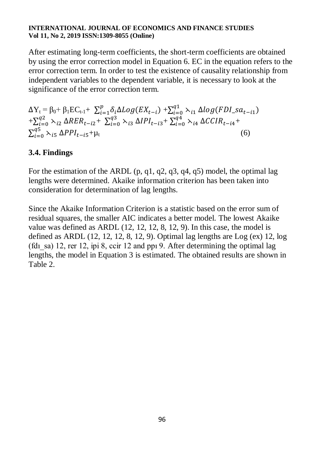After estimating long-term coefficients, the short-term coefficients are obtained by using the error correction model in Equation 6. EC in the equation refers to the error correction term. In order to test the existence of causality relationship from independent variables to the dependent variable, it is necessary to look at the significance of the error correction term.

 $\Delta Y_t = \beta_0 + \beta_1 E C_{t-1} + \sum_{i=1}^p \delta_i \Delta Log(EX_{t-i}) + \sum_{i=1}^q \delta_i$  $+\sum_{i=0}^{q_2} \lambda_{i2} \Delta RER_{t-i2} + \sum_{i=0}^{q_3} \lambda_{i3} \Delta IPI_{t-i3} + \sum_{i=0}^{q_4} \lambda_{i4} \Delta C CIR_{t-i4} +$  $\sum_{i=0}^{q5} \lambda_{i5} \Delta PPI_{t-i5} + \mu_t$  (6)

# **3.4. Findings**

For the estimation of the ARDL  $(p, q1, q2, q3, q4, q5)$  model, the optimal lag lengths were determined. Akaike information criterion has been taken into consideration for determination of lag lengths.

Since the Akaike Information Criterion is a statistic based on the error sum of residual squares, the smaller AIC indicates a better model. The lowest Akaike value was defined as ARDL (12, 12, 12, 8, 12, 9). In this case, the model is defined as ARDL  $(12, 12, 12, 8, 12, 9)$ . Optimal lag lengths are Log  $(ex)$  12, log (fd<sub>1sa</sub>) 12, rer 12, ipi 8, ccir 12 and ppi 9. After determining the optimal lag lengths, the model in Equation 3 is estimated. The obtained results are shown in Table 2.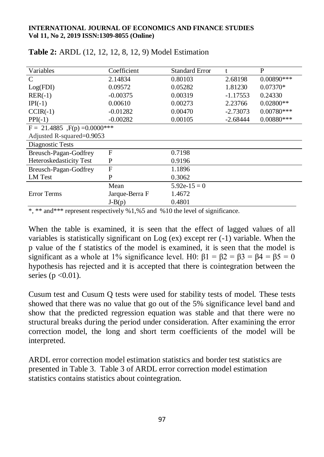| Variables                           | Coefficient    | <b>Standard Error</b> |            | P            |
|-------------------------------------|----------------|-----------------------|------------|--------------|
| C                                   | 2.14834        | 0.80103               | 2.68198    | $0.00890***$ |
| Log(FDI)                            | 0.09572        | 0.05282               | 1.81230    | $0.07370*$   |
| $RER(-1)$                           | $-0.00375$     | 0.00319               | $-1.17553$ | 0.24330      |
| $IPI(-1)$                           | 0.00610        | 0.00273               | 2.23766    | $0.02800**$  |
| $CCIR(-1)$                          | $-0.01282$     | 0.00470               | $-2.73073$ | $0.00780***$ |
| $PPI(-1)$                           | $-0.00282$     | 0.00105               | $-2.68444$ | $0.00880***$ |
| $F = 21.4885$ , $F(p) = 0.0000$ *** |                |                       |            |              |
| Adjusted R-squared=0.9053           |                |                       |            |              |
| Diagnostic Tests                    |                |                       |            |              |
| Breusch-Pagan-Godfrey               | F              | 0.7198                |            |              |
| Heteroskedasticity Test             | P              | 0.9196                |            |              |
| Breusch-Pagan-Godfrey               | F              | 1.1896                |            |              |
| LM Test                             | P              | 0.3062                |            |              |
|                                     | Mean           | $5.92e-15=0$          |            |              |
| Error Terms                         | Jarque-Berra F | 1.4672                |            |              |
|                                     | $J-B(p)$       | 0.4801                |            |              |

| <b>Table 2:</b> ARDL (12, 12, 12, 8, 12, 9) Model Estimation |  |  |  |  |  |  |  |
|--------------------------------------------------------------|--|--|--|--|--|--|--|
|--------------------------------------------------------------|--|--|--|--|--|--|--|

\*, \*\* and\*\*\* represent respectively %1,%5 and %10 the level of significance.

When the table is examined, it is seen that the effect of lagged values of all variables is statistically significant on Log (ex) except rer (-1) variable. When the p value of the f statistics of the model is examined, it is seen that the model is significant as a whole at 1% significance level. H0:  $\beta$ 1 =  $\beta$ 2 =  $\beta$ 3 =  $\beta$ 4 =  $\beta$ 5 = 0 hypothesis has rejected and it is accepted that there is cointegration between the series ( $p < 0.01$ ).

Cusum test and Cusum Q tests were used for stability tests of model. These tests showed that there was no value that go out of the 5% significance level band and show that the predicted regression equation was stable and that there were no structural breaks during the period under consideration. After examining the error correction model, the long and short term coefficients of the model will be interpreted.

ARDL error correction model estimation statistics and border test statistics are presented in Table 3. Table 3 of ARDL error correction model estimation statistics contains statistics about cointegration.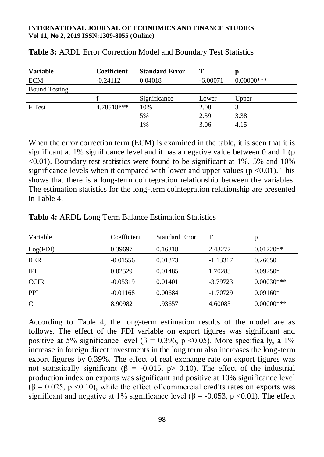| <b>Variable</b>      | <b>Coefficient</b> | <b>Standard Error</b> | Т          |              |
|----------------------|--------------------|-----------------------|------------|--------------|
| <b>ECM</b>           | $-0.24112$         | 0.04018               | $-6.00071$ | $0.00000***$ |
| <b>Bound Testing</b> |                    |                       |            |              |
|                      |                    | Significance          | Lower      | Upper        |
| F Test               | 4.78518***         | 10%                   | 2.08       |              |
|                      |                    | 5%                    | 2.39       | 3.38         |
|                      |                    | 1%                    | 3.06       | 4.15         |

### **Table 3:** ARDL Error Correction Model and Boundary Test Statistics

When the error correction term (ECM) is examined in the table, it is seen that it is significant at 1% significance level and it has a negative value between 0 and 1 (p  $\leq 0.01$ ). Boundary test statistics were found to be significant at 1%, 5% and 10% significance levels when it compared with lower and upper values ( $p \le 0.01$ ). This shows that there is a long-term cointegration relationship between the variables. The estimation statistics for the long-term cointegration relationship are presented in Table 4.

| Variable    | Coefficient | <b>Standard Error</b> |            | p             |
|-------------|-------------|-----------------------|------------|---------------|
| Log(FDI)    | 0.39697     | 0.16318               | 2.43277    | $0.01720**$   |
| <b>RER</b>  | $-0.01556$  | 0.01373               | $-1.13317$ | 0.26050       |
| <b>IPI</b>  | 0.02529     | 0.01485               | 1.70283    | $0.09250*$    |
| <b>CCIR</b> | $-0.05319$  | 0.01401               | $-3.79723$ | $0.00030***$  |
| <b>PPI</b>  | $-0.01168$  | 0.00684               | $-1.70729$ | $0.09160*$    |
|             | 8.90982     | 1.93657               | 4.60083    | $0.00000$ *** |

**Tablo 4:** ARDL Long Term Balance Estimation Statistics

According to Table 4, the long-term estimation results of the model are as follows. The effect of the FDI variable on export figures was significant and positive at 5% significance level ( $\beta$  = 0.396, p <0.05). More specifically, a 1% increase in foreign direct investments in the long term also increases the long-term export figures by 0.39%. The effect of real exchange rate on export figures was not statistically significant (β = -0.015, p> 0.10). The effect of the industrial production index on exports was significant and positive at 10% significance level  $(\beta = 0.025, p \le 0.10)$ , while the effect of commercial credits rates on exports was significant and negative at 1% significance level ( $\beta$  = -0.053, p <0.01). The effect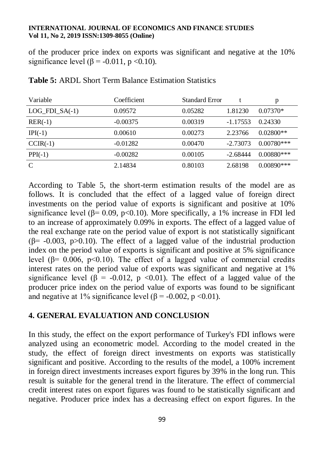of the producer price index on exports was significant and negative at the 10% significance level  $(β = -0.011, p < 0.10)$ .

| Variable         | Coefficient | <b>Standard Error</b> |            | р            |
|------------------|-------------|-----------------------|------------|--------------|
| $LOG_FDI_SA(-1)$ | 0.09572     | 0.05282               | 1.81230    | $0.07370*$   |
| $RER(-1)$        | $-0.00375$  | 0.00319               | $-1.17553$ | 0.24330      |
| $IPI(-1)$        | 0.00610     | 0.00273               | 2.23766    | $0.02800**$  |
| $CCIR(-1)$       | $-0.01282$  | 0.00470               | $-2.73073$ | $0.00780***$ |
| $PPI(-1)$        | $-0.00282$  | 0.00105               | $-2.68444$ | $0.00880***$ |
| $\mathcal{C}$    | 2.14834     | 0.80103               | 2.68198    | $0.00890***$ |

## **Table 5:** ARDL Short Term Balance Estimation Statistics

According to Table 5, the short-term estimation results of the model are as follows. It is concluded that the effect of a lagged value of foreign direct investments on the period value of exports is significant and positive at 10% significance level ( $\beta$ = 0.09, p<0.10). More specifically, a 1% increase in FDI led to an increase of approximately 0.09% in exports. The effect of a lagged value of the real exchange rate on the period value of export is not statistically significant  $(\beta$ = -0.003, p>0.10). The effect of a lagged value of the industrial production index on the period value of exports is significant and positive at 5% significance level (β= 0.006, p<0.10). The effect of a lagged value of commercial credits interest rates on the period value of exports was significant and negative at 1% significance level ( $\beta$  = -0.012, p <0.01). The effect of a lagged value of the producer price index on the period value of exports was found to be significant and negative at 1% significance level ( $\beta$  = -0.002, p <0.01).

# **4. GENERAL EVALUATION AND CONCLUSION**

In this study, the effect on the export performance of Turkey's FDI inflows were analyzed using an econometric model. According to the model created in the study, the effect of foreign direct investments on exports was statistically significant and positive. According to the results of the model, a 100% increment in foreign direct investments increases export figures by 39% in the long run. This result is suitable for the general trend in the literature. The effect of commercial credit interest rates on export figures was found to be statistically significant and negative. Producer price index has a decreasing effect on export figures. In the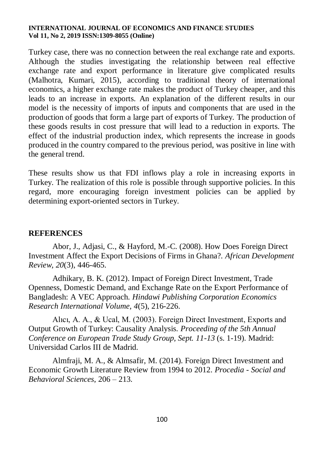Turkey case, there was no connection between the real exchange rate and exports. Although the studies investigating the relationship between real effective exchange rate and export performance in literature give complicated results (Malhotra, Kumari, 2015), according to traditional theory of international economics, a higher exchange rate makes the product of Turkey cheaper, and this leads to an increase in exports. An explanation of the different results in our model is the necessity of imports of inputs and components that are used in the production of goods that form a large part of exports of Turkey. The production of these goods results in cost pressure that will lead to a reduction in exports. The effect of the industrial production index, which represents the increase in goods produced in the country compared to the previous period, was positive in line with the general trend.

These results show us that FDI inflows play a role in increasing exports in Turkey. The realization of this role is possible through supportive policies. In this regard, more encouraging foreign investment policies can be applied by determining export-oriented sectors in Turkey.

# **REFERENCES**

Abor, J., Adjasi, C., & Hayford, M.-C. (2008). How Does Foreign Direct Investment Affect the Export Decisions of Firms in Ghana?. *African Development Review, 20*(3), 446-465.

Adhikary, B. K. (2012). Impact of Foreign Direct Investment, Trade Openness, Domestic Demand, and Exchange Rate on the Export Performance of Bangladesh: A VEC Approach. *Hindawi Publishing Corporation Economics Research International Volume, 4*(5), 216-226.

Alıcı, A. A., & Ucal, M. (2003). Foreign Direct Investment, Exports and Output Growth of Turkey: Causality Analysis. *Proceeding of the 5th Annual Conference on European Trade Study Group, Sept. 11-13* (s. 1-19). Madrid: Universidad Carlos III de Madrid.

Almfraji, M. A., & Almsafir, M. (2014). Foreign Direct Investment and Economic Growth Literature Review from 1994 to 2012. *Procedia - Social and Behavioral Sciences*, 206 – 213.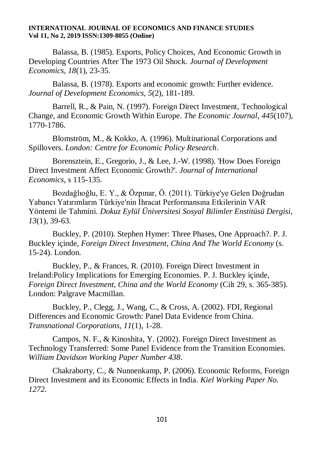Balassa, B. (1985). Exports, Policy Choices, And Economic Growth in Developing Countries After The 1973 Oil Shock. *Journal of Development Economics, 18*(1), 23-35.

Balassa, B. (1978). Exports and economic growth: Further evidence. *Journal of Development Economics, 5*(2), 181-189.

Barrell, R., & Pain, N. (1997). Foreign Direct Investment, Technological Change, and Economic Growth Within Europe. *The Economic Journal, 445*(107), 1770-1786.

Blomström, M., & Kokko, A. (1996). Multinational Corporations and Spillovers. *London: Centre for Economic Policy Research*.

Borensztein, E., Gregorio, J., & Lee, J.-W. (1998). 'How Does Foreign Direct Investment Affect Economic Growth?'. *Journal of International Economics*, s 115-135.

Bozdağlıoğlu, E. Y., & Özpınar, Ö. (2011). Türkiye'ye Gelen Doğrudan Yabancı Yatırımların Türkiye'nin İhracat Performansına Etkilerinin VAR Yöntemi ile Tahmini. *Dokuz Eylül Üniversitesi Sosyal Bilimler Enstitüsü Dergisi, 13*(1), 39-63.

Buckley, P. (2010). Stephen Hymer: Three Phases, One Approach?. P. J. Buckley içinde, *Foreign Direct Investment, China And The World Economy* (s. 15-24). London.

Buckley, P., & Frances, R. (2010). Foreign Direct Investment in Ireland:Policy Implications for Emerging Economies. P. J. Buckley içinde, *Foreign Direct Investment, China and the World Economy* (Cilt 29, s. 365-385). London: Palgrave Macmillan.

Buckley, P., Clegg, J., Wang, C., & Cross, A. (2002). FDI, Regional Differences and Economic Growth: Panel Data Evidence from China. *Transnational Corporations, 11*(1), 1-28.

Campos, N. F., & Kinoshita, Y. (2002). Foreign Direct Investment as Technology Transferred: Some Panel Evidence from the Transition Economies. *William Davidson Working Paper Number 438*.

Chakraborty, C., & Nunnenkamp, P. (2006). Economic Reforms, Foreign Direct Investment and its Economic Effects in India. *Kiel Working Paper No. 1272*.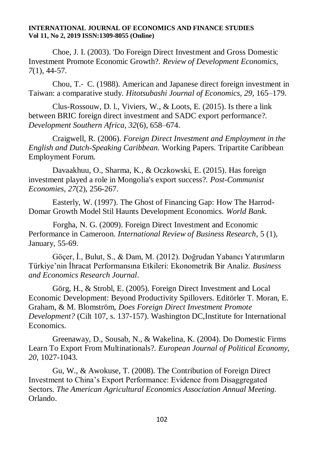Choe, J. I. (2003). 'Do Foreign Direct Investment and Gross Domestic Investment Promote Economic Growth?. *Review of Development Economics, 7*(1), 44-57.

Chou, T.‐ C. (1988). American and Japanese direct foreign investment in Taiwan: a comparative study. *Hitotsubashi Journal of Economics, 29*, 165–179.

Clus-Rossouw, D. l., Viviers, W., & Loots, E. (2015). Is there a link between BRIC foreign direct investment and SADC export performance?. *Development Southern Africa, 32*(6), 658–674.

Craigwell, R. (2006). *Foreign Direct Investment and Employment in the English and Dutch-Speaking Caribbean.* Working Papers. Tripartite Caribbean Employment Forum.

Davaakhuu, O., Sharma, K., & Oczkowski, E. (2015). Has foreign investment played a role in Mongolia's export success?. *Post-Communist Economies, 27*(2), 256-267.

Easterly, W. (1997). The Ghost of Financing Gap: How The Harrod-Domar Growth Model Stil Haunts Development Economics. *World Bank*.

Forgha, N. G. (2009). Foreign Direct Investment and Economic Performance in Cameroon. *International Review of Business Research*, 5 (1), January, 55-69.

Göçer, İ., Bulut, S., & Dam, M. (2012). Doğrudan Yabancı Yatırımların Türkiye'nin İhracat Performansına Etkileri: Ekonometrik Bir Analiz. *Business and Economics Research Journal*.

Görg, H., & Strobl, E. (2005). Foreign Direct Investment and Local Economic Development: Beyond Productivity Spillovers. Editörler T. Moran, E. Graham, & M. Blomström, *Does Foreign Direct Investment Promote Development?* (Cilt 107, s. 137-157). Washington DC,Institute for International Economics.

Greenaway, D., Sousab, N., & Wakelina, K. (2004). Do Domestic Firms Learn To Export From Multinationals?. *European Journal of Political Economy, 20*, 1027-1043.

Gu, W., & Awokuse, T. (2008). The Contribution of Foreign Direct Investment to China's Export Performance: Evidence from Disaggregated Sectors. *The American Agricultural Economics Association Annual Meeting.* Orlando.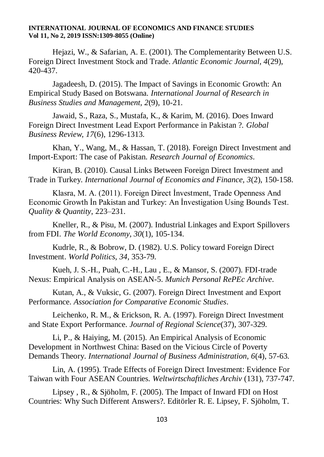Hejazi, W., & Safarian, A. E. (2001). The Complementarity Between U.S. Foreign Direct Investment Stock and Trade. *Atlantic Economic Journal, 4*(29), 420-437.

Jagadeesh, D. (2015). The Impact of Savings in Economic Growth: An Empirical Study Based on Botswana. *International Journal of Research in Business Studies and Management, 2*(9), 10-21.

Jawaid, S., Raza, S., Mustafa, K., & Karim, M. (2016). Does Inward Foreign Direct Investment Lead Export Performance in Pakistan ?. *Global Business Review, 17*(6), 1296-1313.

Khan, Y., Wang, M., & Hassan, T. (2018). Foreign Direct Investment and Import-Export: The case of Pakistan. *Research Journal of Economics*.

Kiran, B. (2010). Causal Links Between Foreign Direct Investment and Trade in Turkey. *International Journal of Economics and Finance, 3*(2), 150-158.

Klasra, M. A. (2011). Foreign Direct İnvestment, Trade Openness And Economic Growth İn Pakistan and Turkey: An İnvestigation Using Bounds Test. *Quality & Quantity*, 223–231.

Kneller, R., & Pisu, M. (2007). Industrial Linkages and Export Spillovers from FDI. *The World Economy, 30*(1), 105-134.

Kudrle, R., & Bobrow, D. (1982). U.S. Policy toward Foreign Direct Investment. *World Politics, 34*, 353-79.

Kueh, J. S.-H., Puah, C.-H., Lau , E., & Mansor, S. (2007). FDI-trade Nexus: Empirical Analysis on ASEAN-5. *Munich Personal RePEc Archive*.

Kutan, A., & Vuksic, G. (2007). Foreign Direct Investment and Export Performance. *Association for Comparative Economic Studies*.

Leichenko, R. M., & Erickson, R. A. (1997). Foreign Direct Investment and State Export Performance. *Journal of Regional Science*(37), 307-329.

Li, P., & Haiying, M. (2015). An Empirical Analysis of Economic Development in Northwest China: Based on the Vicious Circle of Poverty Demands Theory. *International Journal of Business Administration, 6*(4), 57-63.

Lin, A. (1995). Trade Effects of Foreign Direct Investment: Evidence For Taiwan with Four ASEAN Countries. *Weltwirtschaftliches Archiv* (131), 737-747.

Lipsey , R., & Sjöholm, F. (2005). The Impact of Inward FDI on Host Countries: Why Such Different Answers?. Editörler R. E. Lipsey, F. Sjöholm, T.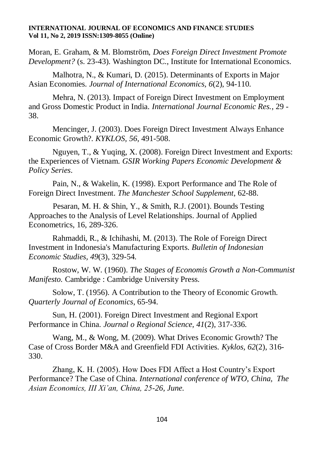Moran, E. Graham, & M. Blomström, *Does Foreign Direct Investment Promote Development?* (s. 23-43). Washington DC., Institute for International Economics.

Malhotra, N., & Kumari, D. (2015). Determinants of Exports in Major Asian Economies. *Journal of International Economics, 6*(2), 94-110.

Mehra, N. (2013). Impact of Foreign Direct Investment on Employment and Gross Domestic Product in India. *International Journal Economic Res.*, 29 - 38.

Mencinger, J. (2003). Does Foreign Direct Investment Always Enhance Economic Growth?. *KYKLOS, 56*, 491-508.

Nguyen, T., & Yuqing, X. (2008). Foreign Direct Investment and Exports: the Experiences of Vietnam. *GSIR Working Papers Economic Development & Policy Series*.

Pain, N., & Wakelin, K. (1998). Export Performance and The Role of Foreign Direct Investment. *The Manchester School Supplement*, 62-88.

Pesaran, M. H. & Shin, Y., & Smith, R.J. (2001). Bounds Testing Approaches to the Analysis of Level Relationships. Journal of Applied Econometrics, 16, 289-326.

Rahmaddi, R., & Ichihashi, M. (2013). The Role of Foreign Direct Investment in Indonesia's Manufacturing Exports. *Bulletin of Indonesian Economic Studies, 49*(3), 329-54.

Rostow, W. W. (1960). *The Stages of Economis Growth a Non-Communist Manifesto.* Cambridge : Cambridge University Press.

Solow, T. (1956). A Contribution to the Theory of Economic Growth. *Quarterly Journal of Economics*, 65-94.

Sun, H. (2001). Foreign Direct Investment and Regional Export Performance in China. *Journal o Regional Science, 41*(2), 317-336.

Wang, M., & Wong, M. (2009). What Drives Economic Growth? The Case of Cross Border M&A and Greenfield FDI Activities. *Kyklos, 62*(2), 316- 330.

Zhang, K. H. (2005). How Does FDI Affect a Host Country's Export Performance? The Case of China. *International conference of WTO, China, The Asian Economics, III Xi'an, China, 25-26, June.*